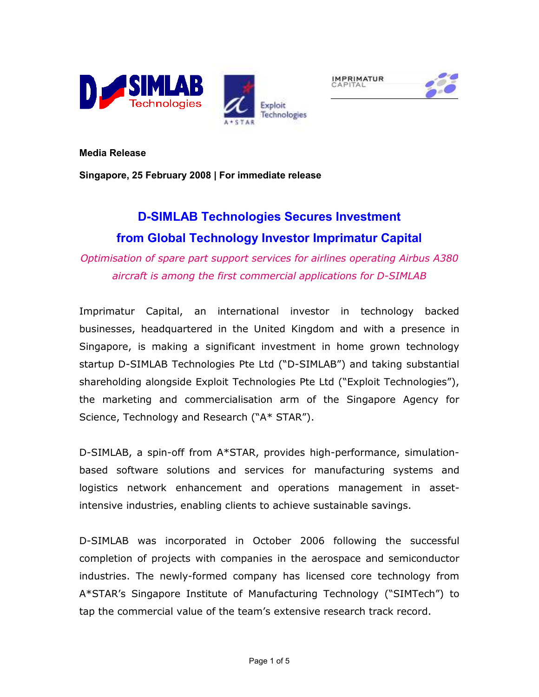





Media Release

Singapore, 25 February 2008 | For immediate release

# D-SIMLAB Technologies Secures Investment from Global Technology Investor Imprimatur Capital

Optimisation of spare part support services for airlines operating Airbus A380 aircraft is among the first commercial applications for D-SIMLAB

Imprimatur Capital, an international investor in technology backed businesses, headquartered in the United Kingdom and with a presence in Singapore, is making a significant investment in home grown technology startup D-SIMLAB Technologies Pte Ltd ("D-SIMLAB") and taking substantial shareholding alongside Exploit Technologies Pte Ltd ("Exploit Technologies"), the marketing and commercialisation arm of the Singapore Agency for Science, Technology and Research ("A\* STAR").

D-SIMLAB, a spin-off from A\*STAR, provides high-performance, simulationbased software solutions and services for manufacturing systems and logistics network enhancement and operations management in assetintensive industries, enabling clients to achieve sustainable savings.

D-SIMLAB was incorporated in October 2006 following the successful completion of projects with companies in the aerospace and semiconductor industries. The newly-formed company has licensed core technology from A\*STAR's Singapore Institute of Manufacturing Technology ("SIMTech") to tap the commercial value of the team's extensive research track record.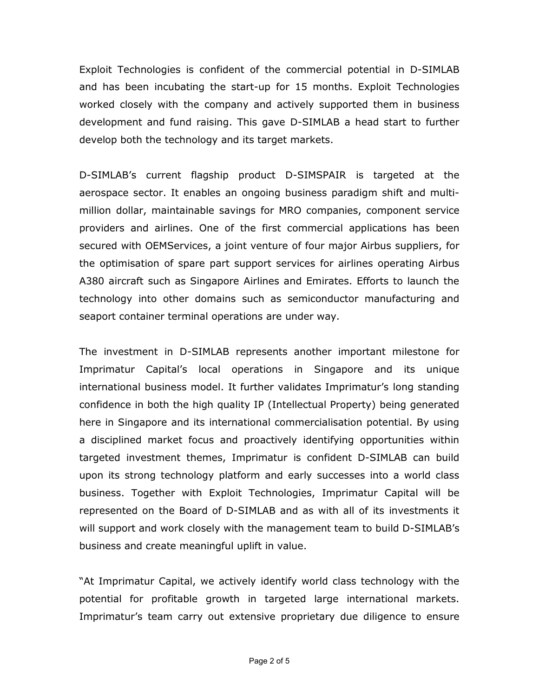Exploit Technologies is confident of the commercial potential in D-SIMLAB and has been incubating the start-up for 15 months. Exploit Technologies worked closely with the company and actively supported them in business development and fund raising. This gave D-SIMLAB a head start to further develop both the technology and its target markets.

D-SIMLAB's current flagship product D-SIMSPAIR is targeted at the aerospace sector. It enables an ongoing business paradigm shift and multimillion dollar, maintainable savings for MRO companies, component service providers and airlines. One of the first commercial applications has been secured with OEMServices, a joint venture of four major Airbus suppliers, for the optimisation of spare part support services for airlines operating Airbus A380 aircraft such as Singapore Airlines and Emirates. Efforts to launch the technology into other domains such as semiconductor manufacturing and seaport container terminal operations are under way.

The investment in D-SIMLAB represents another important milestone for Imprimatur Capital's local operations in Singapore and its unique international business model. It further validates Imprimatur's long standing confidence in both the high quality IP (Intellectual Property) being generated here in Singapore and its international commercialisation potential. By using a disciplined market focus and proactively identifying opportunities within targeted investment themes, Imprimatur is confident D-SIMLAB can build upon its strong technology platform and early successes into a world class business. Together with Exploit Technologies, Imprimatur Capital will be represented on the Board of D-SIMLAB and as with all of its investments it will support and work closely with the management team to build D-SIMLAB's business and create meaningful uplift in value.

"At Imprimatur Capital, we actively identify world class technology with the potential for profitable growth in targeted large international markets. Imprimatur's team carry out extensive proprietary due diligence to ensure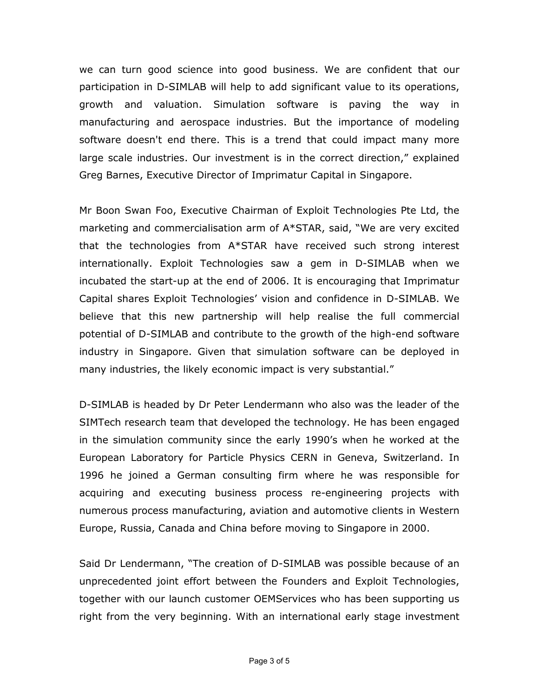we can turn good science into good business. We are confident that our participation in D-SIMLAB will help to add significant value to its operations, growth and valuation. Simulation software is paving the way in manufacturing and aerospace industries. But the importance of modeling software doesn't end there. This is a trend that could impact many more large scale industries. Our investment is in the correct direction," explained Greg Barnes, Executive Director of Imprimatur Capital in Singapore.

Mr Boon Swan Foo, Executive Chairman of Exploit Technologies Pte Ltd, the marketing and commercialisation arm of A\*STAR, said, "We are very excited that the technologies from A\*STAR have received such strong interest internationally. Exploit Technologies saw a gem in D-SIMLAB when we incubated the start-up at the end of 2006. It is encouraging that Imprimatur Capital shares Exploit Technologies' vision and confidence in D-SIMLAB. We believe that this new partnership will help realise the full commercial potential of D-SIMLAB and contribute to the growth of the high-end software industry in Singapore. Given that simulation software can be deployed in many industries, the likely economic impact is very substantial."

D-SIMLAB is headed by Dr Peter Lendermann who also was the leader of the SIMTech research team that developed the technology. He has been engaged in the simulation community since the early 1990's when he worked at the European Laboratory for Particle Physics CERN in Geneva, Switzerland. In 1996 he joined a German consulting firm where he was responsible for acquiring and executing business process re-engineering projects with numerous process manufacturing, aviation and automotive clients in Western Europe, Russia, Canada and China before moving to Singapore in 2000.

Said Dr Lendermann, "The creation of D-SIMLAB was possible because of an unprecedented joint effort between the Founders and Exploit Technologies, together with our launch customer OEMServices who has been supporting us right from the very beginning. With an international early stage investment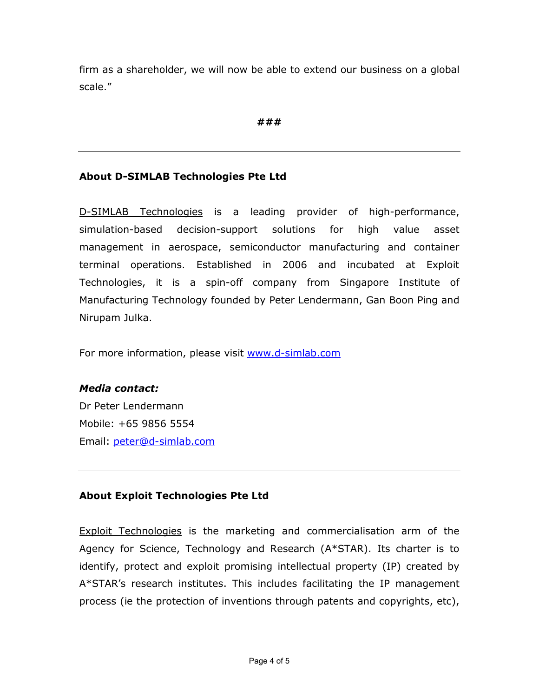firm as a shareholder, we will now be able to extend our business on a global scale."

###

## About D-SIMLAB Technologies Pte Ltd

D-SIMLAB Technologies is a leading provider of high-performance, simulation-based decision-support solutions for high value asset management in aerospace, semiconductor manufacturing and container terminal operations. Established in 2006 and incubated at Exploit Technologies, it is a spin-off company from Singapore Institute of Manufacturing Technology founded by Peter Lendermann, Gan Boon Ping and Nirupam Julka.

For more information, please visit www.d-simlab.com

## Media contact:

Dr Peter Lendermann Mobile: +65 9856 5554 Email: peter@d-simlab.com

# About Exploit Technologies Pte Ltd

Exploit Technologies is the marketing and commercialisation arm of the Agency for Science, Technology and Research (A\*STAR). Its charter is to identify, protect and exploit promising intellectual property (IP) created by A\*STAR's research institutes. This includes facilitating the IP management process (ie the protection of inventions through patents and copyrights, etc),